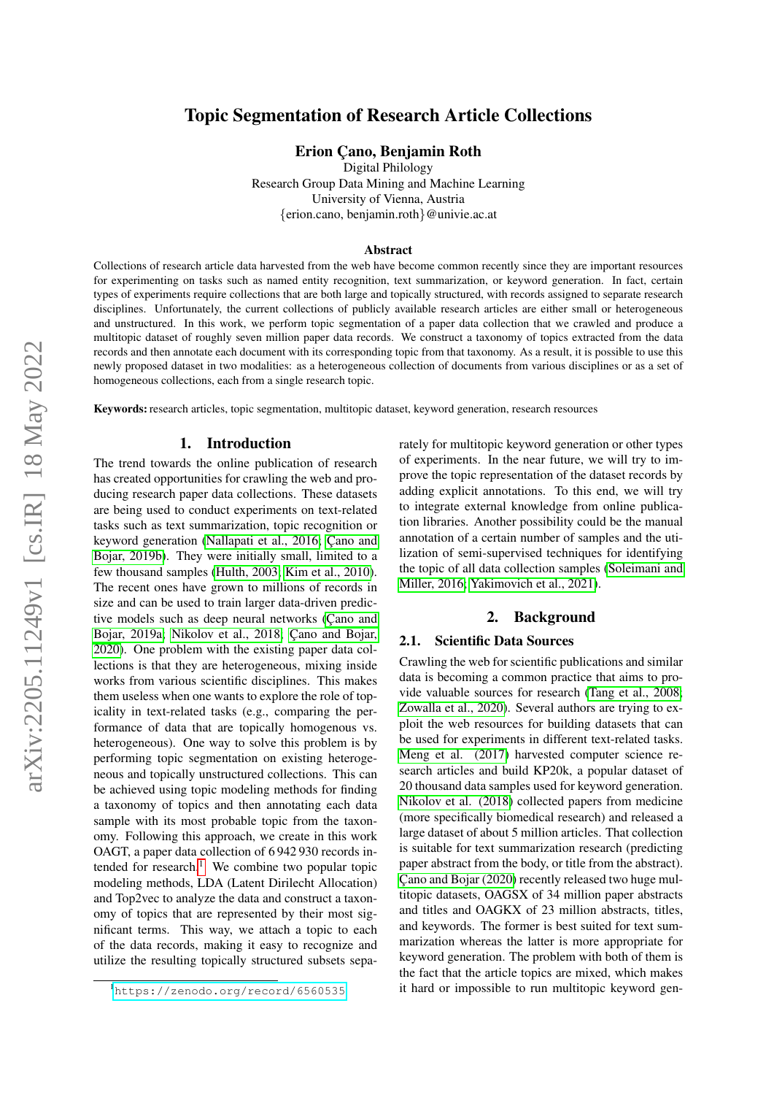# arXiv:2205.11249v1 [cs.IR] 18 May 2022 arXiv:2205.11249v1 [cs.IR] 18 May 2022

# Topic Segmentation of Research Article Collections

Erion Cano, Benjamin Roth

Digital Philology Research Group Data Mining and Machine Learning University of Vienna, Austria {erion.cano, benjamin.roth}@univie.ac.at

#### Abstract

Collections of research article data harvested from the web have become common recently since they are important resources for experimenting on tasks such as named entity recognition, text summarization, or keyword generation. In fact, certain types of experiments require collections that are both large and topically structured, with records assigned to separate research disciplines. Unfortunately, the current collections of publicly available research articles are either small or heterogeneous and unstructured. In this work, we perform topic segmentation of a paper data collection that we crawled and produce a multitopic dataset of roughly seven million paper data records. We construct a taxonomy of topics extracted from the data records and then annotate each document with its corresponding topic from that taxonomy. As a result, it is possible to use this newly proposed dataset in two modalities: as a heterogeneous collection of documents from various disciplines or as a set of homogeneous collections, each from a single research topic.

Keywords: research articles, topic segmentation, multitopic dataset, keyword generation, research resources

#### 1. Introduction

The trend towards the online publication of research has created opportunities for crawling the web and producing research paper data collections. These datasets are being used to conduct experiments on text-related tasks such as text summarization, topic recognition or keyword generation [\(Nallapati et al., 2016;](#page-4-0) Cano and [Bojar, 2019b\)](#page-4-1). They were initially small, limited to a few thousand samples [\(Hulth, 2003;](#page-4-2) [Kim et al., 2010\)](#page-4-3). The recent ones have grown to millions of records in size and can be used to train larger data-driven predictive models such as deep neural networks (Çano and [Bojar, 2019a;](#page-4-4) [Nikolov et al., 2018;](#page-5-0) Cano and Bojar, [2020\)](#page-4-5). One problem with the existing paper data collections is that they are heterogeneous, mixing inside works from various scientific disciplines. This makes them useless when one wants to explore the role of topicality in text-related tasks (e.g., comparing the performance of data that are topically homogenous vs. heterogeneous). One way to solve this problem is by performing topic segmentation on existing heterogeneous and topically unstructured collections. This can be achieved using topic modeling methods for finding a taxonomy of topics and then annotating each data sample with its most probable topic from the taxonomy. Following this approach, we create in this work OAGT, a paper data collection of 6 942 930 records in-tended for research.<sup>[1](#page-0-0)</sup> We combine two popular topic modeling methods, LDA (Latent Dirilecht Allocation) and Top2vec to analyze the data and construct a taxonomy of topics that are represented by their most significant terms. This way, we attach a topic to each of the data records, making it easy to recognize and utilize the resulting topically structured subsets separately for multitopic keyword generation or other types of experiments. In the near future, we will try to improve the topic representation of the dataset records by adding explicit annotations. To this end, we will try to integrate external knowledge from online publication libraries. Another possibility could be the manual annotation of a certain number of samples and the utilization of semi-supervised techniques for identifying the topic of all data collection samples [\(Soleimani and](#page-5-1) [Miller, 2016;](#page-5-1) [Yakimovich et al., 2021\)](#page-5-2).

#### 2. Background

#### 2.1. Scientific Data Sources

Crawling the web for scientific publications and similar data is becoming a common practice that aims to provide valuable sources for research [\(Tang et al., 2008;](#page-5-3) [Zowalla et al., 2020\)](#page-5-4). Several authors are trying to exploit the web resources for building datasets that can be used for experiments in different text-related tasks. [Meng et al. \(2017\)](#page-4-6) harvested computer science research articles and build KP20k, a popular dataset of 20 thousand data samples used for keyword generation. [Nikolov et al. \(2018\)](#page-5-0) collected papers from medicine (more specifically biomedical research) and released a large dataset of about 5 million articles. That collection is suitable for text summarization research (predicting paper abstract from the body, or title from the abstract). Cano and Bojar (2020) recently released two huge multitopic datasets, OAGSX of 34 million paper abstracts and titles and OAGKX of 23 million abstracts, titles, and keywords. The former is best suited for text summarization whereas the latter is more appropriate for keyword generation. The problem with both of them is the fact that the article topics are mixed, which makes it hard or impossible to run multitopic keyword gen-

<span id="page-0-0"></span><sup>1</sup><https://zenodo.org/record/6560535>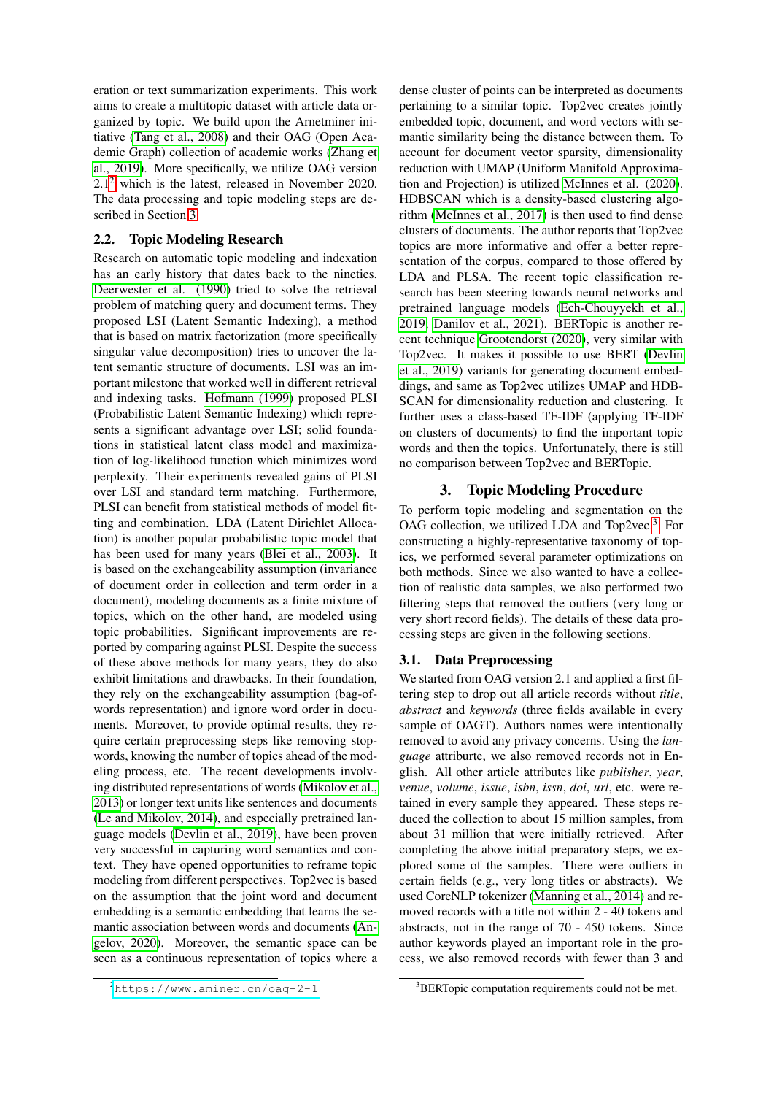eration or text summarization experiments. This work aims to create a multitopic dataset with article data organized by topic. We build upon the Arnetminer initiative [\(Tang et al., 2008\)](#page-5-3) and their OAG (Open Academic Graph) collection of academic works [\(Zhang et](#page-5-5) [al., 2019\)](#page-5-5). More specifically, we utilize OAG version  $2.1<sup>2</sup>$  $2.1<sup>2</sup>$  which is the latest, released in November 2020. The data processing and topic modeling steps are described in Section [3.](#page-1-1)

#### 2.2. Topic Modeling Research

Research on automatic topic modeling and indexation has an early history that dates back to the nineties. [Deerwester et al. \(1990\)](#page-4-8) tried to solve the retrieval problem of matching query and document terms. They proposed LSI (Latent Semantic Indexing), a method that is based on matrix factorization (more specifically singular value decomposition) tries to uncover the latent semantic structure of documents. LSI was an important milestone that worked well in different retrieval and indexing tasks. [Hofmann \(1999\)](#page-4-9) proposed PLSI (Probabilistic Latent Semantic Indexing) which represents a significant advantage over LSI; solid foundations in statistical latent class model and maximization of log-likelihood function which minimizes word perplexity. Their experiments revealed gains of PLSI over LSI and standard term matching. Furthermore, PLSI can benefit from statistical methods of model fitting and combination. LDA (Latent Dirichlet Allocation) is another popular probabilistic topic model that has been used for many years [\(Blei et al., 2003\)](#page-4-10). It is based on the exchangeability assumption (invariance of document order in collection and term order in a document), modeling documents as a finite mixture of topics, which on the other hand, are modeled using topic probabilities. Significant improvements are reported by comparing against PLSI. Despite the success of these above methods for many years, they do also exhibit limitations and drawbacks. In their foundation, they rely on the exchangeability assumption (bag-ofwords representation) and ignore word order in documents. Moreover, to provide optimal results, they require certain preprocessing steps like removing stopwords, knowing the number of topics ahead of the modeling process, etc. The recent developments involving distributed representations of words [\(Mikolov et al.,](#page-4-11) [2013\)](#page-4-11) or longer text units like sentences and documents [\(Le and Mikolov, 2014\)](#page-4-12), and especially pretrained language models [\(Devlin et al., 2019\)](#page-4-13), have been proven very successful in capturing word semantics and context. They have opened opportunities to reframe topic modeling from different perspectives. Top2vec is based on the assumption that the joint word and document embedding is a semantic embedding that learns the semantic association between words and documents [\(An](#page-4-14)[gelov, 2020\)](#page-4-14). Moreover, the semantic space can be seen as a continuous representation of topics where a

dense cluster of points can be interpreted as documents pertaining to a similar topic. Top2vec creates jointly embedded topic, document, and word vectors with semantic similarity being the distance between them. To account for document vector sparsity, dimensionality reduction with UMAP (Uniform Manifold Approximation and Projection) is utilized [McInnes et al. \(2020\)](#page-4-15). HDBSCAN which is a density-based clustering algorithm [\(McInnes et al., 2017\)](#page-4-16) is then used to find dense clusters of documents. The author reports that Top2vec topics are more informative and offer a better representation of the corpus, compared to those offered by LDA and PLSA. The recent topic classification research has been steering towards neural networks and pretrained language models [\(Ech-Chouyyekh et al.,](#page-4-17) [2019;](#page-4-17) [Danilov et al., 2021\)](#page-4-18). BERTopic is another recent technique [Grootendorst \(2020\)](#page-4-19), very similar with Top2vec. It makes it possible to use BERT [\(Devlin](#page-4-13) [et al., 2019\)](#page-4-13) variants for generating document embeddings, and same as Top2vec utilizes UMAP and HDB-SCAN for dimensionality reduction and clustering. It further uses a class-based TF-IDF (applying TF-IDF on clusters of documents) to find the important topic words and then the topics. Unfortunately, there is still no comparison between Top2vec and BERTopic.

#### 3. Topic Modeling Procedure

<span id="page-1-1"></span>To perform topic modeling and segmentation on the OAG collection, we utilized LDA and Top2vec.<sup>[3](#page-1-2)</sup> For constructing a highly-representative taxonomy of topics, we performed several parameter optimizations on both methods. Since we also wanted to have a collection of realistic data samples, we also performed two filtering steps that removed the outliers (very long or very short record fields). The details of these data processing steps are given in the following sections.

#### 3.1. Data Preprocessing

We started from OAG version 2.1 and applied a first filtering step to drop out all article records without *title*, *abstract* and *keywords* (three fields available in every sample of OAGT). Authors names were intentionally removed to avoid any privacy concerns. Using the *language* attriburte, we also removed records not in English. All other article attributes like *publisher*, *year*, *venue*, *volume*, *issue*, *isbn*, *issn*, *doi*, *url*, etc. were retained in every sample they appeared. These steps reduced the collection to about 15 million samples, from about 31 million that were initially retrieved. After completing the above initial preparatory steps, we explored some of the samples. There were outliers in certain fields (e.g., very long titles or abstracts). We used CoreNLP tokenizer [\(Manning et al., 2014\)](#page-4-20) and removed records with a title not within 2 - 40 tokens and abstracts, not in the range of 70 - 450 tokens. Since author keywords played an important role in the process, we also removed records with fewer than 3 and

<span id="page-1-0"></span><sup>2</sup><https://www.aminer.cn/oag-2-1>

<span id="page-1-2"></span><sup>&</sup>lt;sup>3</sup>BERTopic computation requirements could not be met.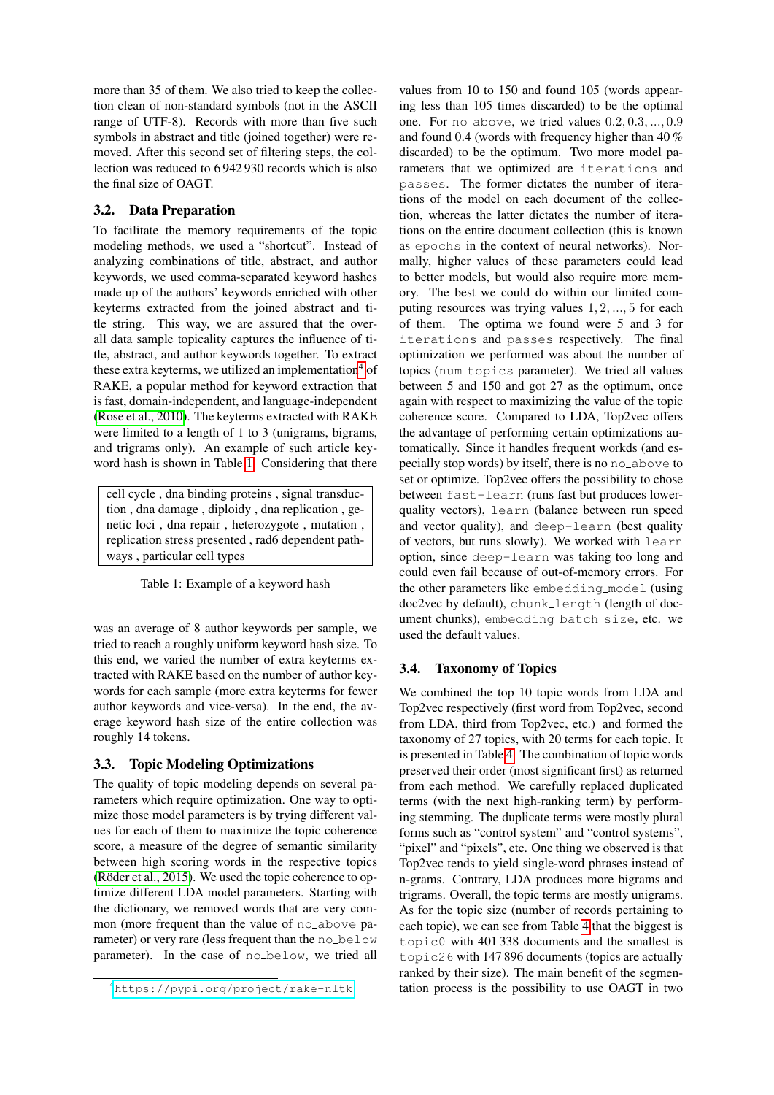more than 35 of them. We also tried to keep the collection clean of non-standard symbols (not in the ASCII range of UTF-8). Records with more than five such symbols in abstract and title (joined together) were removed. After this second set of filtering steps, the collection was reduced to 6 942 930 records which is also the final size of OAGT.

# 3.2. Data Preparation

To facilitate the memory requirements of the topic modeling methods, we used a "shortcut". Instead of analyzing combinations of title, abstract, and author keywords, we used comma-separated keyword hashes made up of the authors' keywords enriched with other keyterms extracted from the joined abstract and title string. This way, we are assured that the overall data sample topicality captures the influence of title, abstract, and author keywords together. To extract these extra keyterms, we utilized an implementation<sup>[4](#page-2-0)</sup> of RAKE, a popular method for keyword extraction that is fast, domain-independent, and language-independent [\(Rose et al., 2010\)](#page-5-6). The keyterms extracted with RAKE were limited to a length of 1 to 3 (unigrams, bigrams, and trigrams only). An example of such article keyword hash is shown in Table [1.](#page-2-1) Considering that there

cell cycle , dna binding proteins , signal transduction , dna damage , diploidy , dna replication , genetic loci , dna repair , heterozygote , mutation , replication stress presented , rad6 dependent pathways , particular cell types

<span id="page-2-1"></span>Table 1: Example of a keyword hash

was an average of 8 author keywords per sample, we tried to reach a roughly uniform keyword hash size. To this end, we varied the number of extra keyterms extracted with RAKE based on the number of author keywords for each sample (more extra keyterms for fewer author keywords and vice-versa). In the end, the average keyword hash size of the entire collection was roughly 14 tokens.

# 3.3. Topic Modeling Optimizations

The quality of topic modeling depends on several parameters which require optimization. One way to optimize those model parameters is by trying different values for each of them to maximize the topic coherence score, a measure of the degree of semantic similarity between high scoring words in the respective topics (Röder et al.,  $2015$ ). We used the topic coherence to optimize different LDA model parameters. Starting with the dictionary, we removed words that are very common (more frequent than the value of no\_above parameter) or very rare (less frequent than the no\_below parameter). In the case of no below, we tried all

values from 10 to 150 and found 105 (words appearing less than 105 times discarded) to be the optimal one. For no\_above, we tried values  $0.2, 0.3, ..., 0.9$ and found 0.4 (words with frequency higher than 40 % discarded) to be the optimum. Two more model parameters that we optimized are iterations and passes. The former dictates the number of iterations of the model on each document of the collection, whereas the latter dictates the number of iterations on the entire document collection (this is known as epochs in the context of neural networks). Normally, higher values of these parameters could lead to better models, but would also require more memory. The best we could do within our limited computing resources was trying values 1, 2, ..., 5 for each of them. The optima we found were 5 and 3 for iterations and passes respectively. The final optimization we performed was about the number of topics (num\_topics parameter). We tried all values between 5 and 150 and got 27 as the optimum, once again with respect to maximizing the value of the topic coherence score. Compared to LDA, Top2vec offers the advantage of performing certain optimizations automatically. Since it handles frequent workds (and especially stop words) by itself, there is no no above to set or optimize. Top2vec offers the possibility to chose between fast-learn (runs fast but produces lowerquality vectors), learn (balance between run speed and vector quality), and deep-learn (best quality of vectors, but runs slowly). We worked with learn option, since deep-learn was taking too long and could even fail because of out-of-memory errors. For the other parameters like embedding model (using doc2vec by default), chunk\_length (length of document chunks), embedding\_batch\_size, etc. we used the default values.

# 3.4. Taxonomy of Topics

We combined the top 10 topic words from LDA and Top2vec respectively (first word from Top2vec, second from LDA, third from Top2vec, etc.) and formed the taxonomy of 27 topics, with 20 terms for each topic. It is presented in Table [4.](#page-6-0) The combination of topic words preserved their order (most significant first) as returned from each method. We carefully replaced duplicated terms (with the next high-ranking term) by performing stemming. The duplicate terms were mostly plural forms such as "control system" and "control systems", "pixel" and "pixels", etc. One thing we observed is that Top2vec tends to yield single-word phrases instead of n-grams. Contrary, LDA produces more bigrams and trigrams. Overall, the topic terms are mostly unigrams. As for the topic size (number of records pertaining to each topic), we can see from Table [4](#page-6-0) that the biggest is topic0 with 401 338 documents and the smallest is topic26 with 147 896 documents (topics are actually ranked by their size). The main benefit of the segmentation process is the possibility to use OAGT in two

<span id="page-2-0"></span><sup>4</sup><https://pypi.org/project/rake-nltk>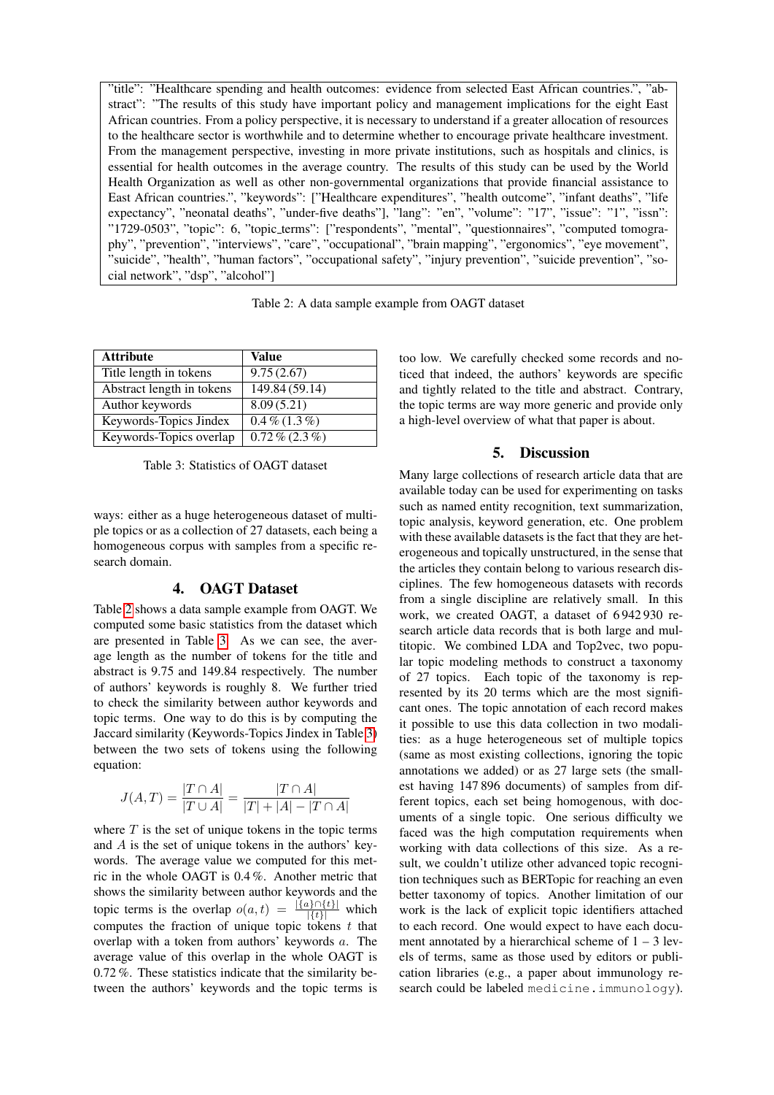"title": "Healthcare spending and health outcomes: evidence from selected East African countries.", "abstract": "The results of this study have important policy and management implications for the eight East African countries. From a policy perspective, it is necessary to understand if a greater allocation of resources to the healthcare sector is worthwhile and to determine whether to encourage private healthcare investment. From the management perspective, investing in more private institutions, such as hospitals and clinics, is essential for health outcomes in the average country. The results of this study can be used by the World Health Organization as well as other non-governmental organizations that provide financial assistance to East African countries.", "keywords": ["Healthcare expenditures", "health outcome", "infant deaths", "life expectancy", "neonatal deaths", "under-five deaths"], "lang": "en", "volume": "17", "issue": "1", "issn": "1729-0503", "topic": 6, "topic terms": ["respondents", "mental", "questionnaires", "computed tomography", "prevention", "interviews", "care", "occupational", "brain mapping", "ergonomics", "eye movement", "suicide", "health", "human factors", "occupational safety", "injury prevention", "suicide prevention", "social network", "dsp", "alcohol"]

<span id="page-3-0"></span>Table 2: A data sample example from OAGT dataset

| <b>Attribute</b>          | Value           |  |
|---------------------------|-----------------|--|
| Title length in tokens    | 9.75(2.67)      |  |
| Abstract length in tokens | 149.84(59.14)   |  |
| Author keywords           | 8.09(5.21)      |  |
| Keywords-Topics Jindex    | $0.4\%$ (1.3%)  |  |
| Keywords-Topics overlap   | $0.72\%$ (2.3%) |  |

<span id="page-3-1"></span>Table 3: Statistics of OAGT dataset

ways: either as a huge heterogeneous dataset of multiple topics or as a collection of 27 datasets, each being a homogeneous corpus with samples from a specific research domain.

### 4. OAGT Dataset

Table [2](#page-3-0) shows a data sample example from OAGT. We computed some basic statistics from the dataset which are presented in Table [3.](#page-3-1) As we can see, the average length as the number of tokens for the title and abstract is 9.75 and 149.84 respectively. The number of authors' keywords is roughly 8. We further tried to check the similarity between author keywords and topic terms. One way to do this is by computing the Jaccard similarity (Keywords-Topics Jindex in Table [3\)](#page-3-1) between the two sets of tokens using the following equation:

$$
J(A, T) = \frac{|T \cap A|}{|T \cup A|} = \frac{|T \cap A|}{|T| + |A| - |T \cap A|}
$$

where  $T$  is the set of unique tokens in the topic terms and A is the set of unique tokens in the authors' keywords. The average value we computed for this metric in the whole OAGT is 0.4 %. Another metric that shows the similarity between author keywords and the topic terms is the overlap  $o(a, t) = \frac{|\{a\} \cap \{t\}|}{|\{t\}|}$  which computes the fraction of unique topic tokens  $t$  that overlap with a token from authors' keywords a. The average value of this overlap in the whole OAGT is 0.72 %. These statistics indicate that the similarity between the authors' keywords and the topic terms is too low. We carefully checked some records and noticed that indeed, the authors' keywords are specific and tightly related to the title and abstract. Contrary, the topic terms are way more generic and provide only a high-level overview of what that paper is about.

# 5. Discussion

Many large collections of research article data that are available today can be used for experimenting on tasks such as named entity recognition, text summarization, topic analysis, keyword generation, etc. One problem with these available datasets is the fact that they are heterogeneous and topically unstructured, in the sense that the articles they contain belong to various research disciplines. The few homogeneous datasets with records from a single discipline are relatively small. In this work, we created OAGT, a dataset of 6 942 930 research article data records that is both large and multitopic. We combined LDA and Top2vec, two popular topic modeling methods to construct a taxonomy of 27 topics. Each topic of the taxonomy is represented by its 20 terms which are the most significant ones. The topic annotation of each record makes it possible to use this data collection in two modalities: as a huge heterogeneous set of multiple topics (same as most existing collections, ignoring the topic annotations we added) or as 27 large sets (the smallest having 147 896 documents) of samples from different topics, each set being homogenous, with documents of a single topic. One serious difficulty we faced was the high computation requirements when working with data collections of this size. As a result, we couldn't utilize other advanced topic recognition techniques such as BERTopic for reaching an even better taxonomy of topics. Another limitation of our work is the lack of explicit topic identifiers attached to each record. One would expect to have each document annotated by a hierarchical scheme of  $1 - 3$  levels of terms, same as those used by editors or publication libraries (e.g., a paper about immunology research could be labeled medicine.immunology).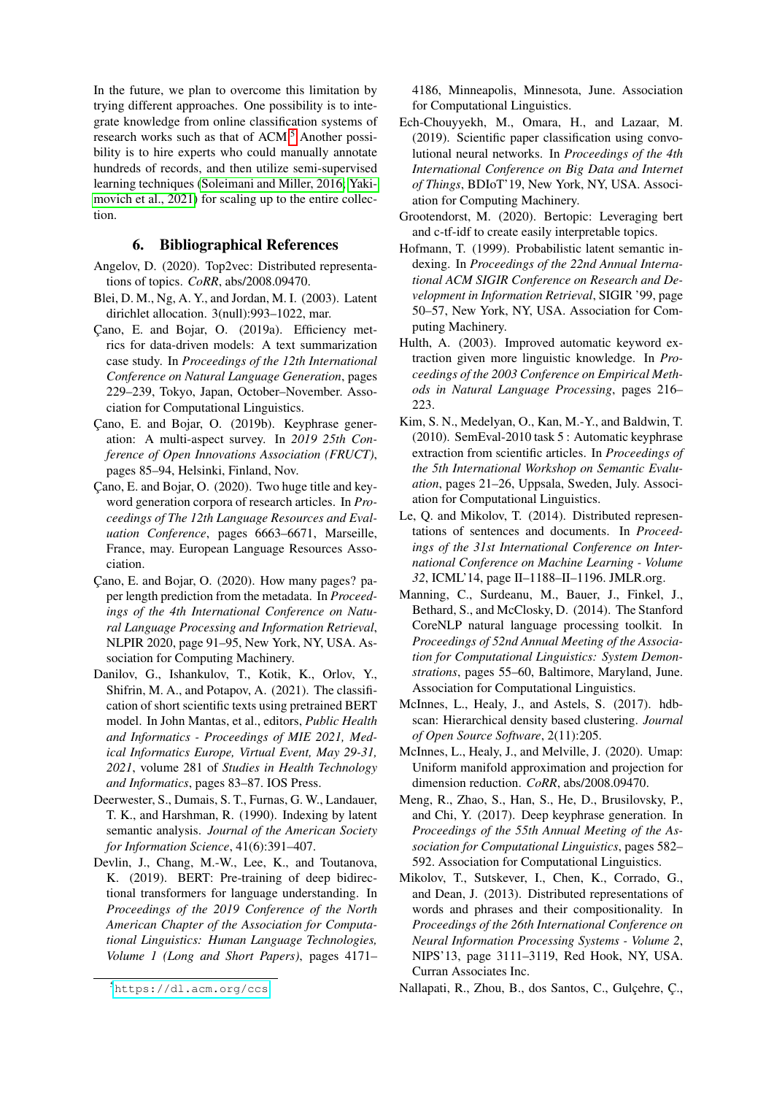In the future, we plan to overcome this limitation by trying different approaches. One possibility is to integrate knowledge from online classification systems of research works such as that of ACM.<sup>[5](#page-4-21)</sup> Another possibility is to hire experts who could manually annotate hundreds of records, and then utilize semi-supervised learning techniques [\(Soleimani and Miller, 2016;](#page-5-1) [Yaki](#page-5-2)[movich et al., 2021\)](#page-5-2) for scaling up to the entire collection.

# 6. Bibliographical References

- <span id="page-4-14"></span>Angelov, D. (2020). Top2vec: Distributed representations of topics. *CoRR*, abs/2008.09470.
- <span id="page-4-10"></span>Blei, D. M., Ng, A. Y., and Jordan, M. I. (2003). Latent dirichlet allocation. 3(null):993–1022, mar.
- <span id="page-4-4"></span>Çano, E. and Bojar, O. (2019a). Efficiency metrics for data-driven models: A text summarization case study. In *Proceedings of the 12th International Conference on Natural Language Generation*, pages 229–239, Tokyo, Japan, October–November. Association for Computational Linguistics.
- <span id="page-4-1"></span>Cano, E. and Bojar, O. (2019b). Keyphrase generation: A multi-aspect survey. In *2019 25th Conference of Open Innovations Association (FRUCT)*, pages 85–94, Helsinki, Finland, Nov.
- <span id="page-4-7"></span>Cano, E. and Bojar, O. (2020). Two huge title and keyword generation corpora of research articles. In *Proceedings of The 12th Language Resources and Evaluation Conference*, pages 6663–6671, Marseille, France, may. European Language Resources Association.
- <span id="page-4-5"></span>Cano, E. and Bojar, O. (2020). How many pages? paper length prediction from the metadata. In *Proceedings of the 4th International Conference on Natural Language Processing and Information Retrieval*, NLPIR 2020, page 91–95, New York, NY, USA. Association for Computing Machinery.
- <span id="page-4-18"></span>Danilov, G., Ishankulov, T., Kotik, K., Orlov, Y., Shifrin, M. A., and Potapov, A. (2021). The classification of short scientific texts using pretrained BERT model. In John Mantas, et al., editors, *Public Health and Informatics - Proceedings of MIE 2021, Medical Informatics Europe, Virtual Event, May 29-31, 2021*, volume 281 of *Studies in Health Technology and Informatics*, pages 83–87. IOS Press.
- <span id="page-4-8"></span>Deerwester, S., Dumais, S. T., Furnas, G. W., Landauer, T. K., and Harshman, R. (1990). Indexing by latent semantic analysis. *Journal of the American Society for Information Science*, 41(6):391–407.
- <span id="page-4-13"></span>Devlin, J., Chang, M.-W., Lee, K., and Toutanova, K. (2019). BERT: Pre-training of deep bidirectional transformers for language understanding. In *Proceedings of the 2019 Conference of the North American Chapter of the Association for Computational Linguistics: Human Language Technologies, Volume 1 (Long and Short Papers)*, pages 4171–

4186, Minneapolis, Minnesota, June. Association for Computational Linguistics.

- <span id="page-4-17"></span>Ech-Chouyyekh, M., Omara, H., and Lazaar, M. (2019). Scientific paper classification using convolutional neural networks. In *Proceedings of the 4th International Conference on Big Data and Internet of Things*, BDIoT'19, New York, NY, USA. Association for Computing Machinery.
- <span id="page-4-19"></span>Grootendorst, M. (2020). Bertopic: Leveraging bert and c-tf-idf to create easily interpretable topics.
- <span id="page-4-9"></span>Hofmann, T. (1999). Probabilistic latent semantic indexing. In *Proceedings of the 22nd Annual International ACM SIGIR Conference on Research and Development in Information Retrieval*, SIGIR '99, page 50–57, New York, NY, USA. Association for Computing Machinery.
- <span id="page-4-2"></span>Hulth, A. (2003). Improved automatic keyword extraction given more linguistic knowledge. In *Proceedings of the 2003 Conference on Empirical Methods in Natural Language Processing*, pages 216– 223.
- <span id="page-4-3"></span>Kim, S. N., Medelyan, O., Kan, M.-Y., and Baldwin, T. (2010). SemEval-2010 task 5 : Automatic keyphrase extraction from scientific articles. In *Proceedings of the 5th International Workshop on Semantic Evaluation*, pages 21–26, Uppsala, Sweden, July. Association for Computational Linguistics.
- <span id="page-4-12"></span>Le, Q. and Mikolov, T. (2014). Distributed representations of sentences and documents. In *Proceedings of the 31st International Conference on International Conference on Machine Learning - Volume 32*, ICML'14, page II–1188–II–1196. JMLR.org.
- <span id="page-4-20"></span>Manning, C., Surdeanu, M., Bauer, J., Finkel, J., Bethard, S., and McClosky, D. (2014). The Stanford CoreNLP natural language processing toolkit. In *Proceedings of 52nd Annual Meeting of the Association for Computational Linguistics: System Demonstrations*, pages 55–60, Baltimore, Maryland, June. Association for Computational Linguistics.
- <span id="page-4-16"></span>McInnes, L., Healy, J., and Astels, S. (2017). hdbscan: Hierarchical density based clustering. *Journal of Open Source Software*, 2(11):205.
- <span id="page-4-15"></span>McInnes, L., Healy, J., and Melville, J. (2020). Umap: Uniform manifold approximation and projection for dimension reduction. *CoRR*, abs/2008.09470.
- <span id="page-4-6"></span>Meng, R., Zhao, S., Han, S., He, D., Brusilovsky, P., and Chi, Y. (2017). Deep keyphrase generation. In *Proceedings of the 55th Annual Meeting of the Association for Computational Linguistics*, pages 582– 592. Association for Computational Linguistics.
- <span id="page-4-11"></span>Mikolov, T., Sutskever, I., Chen, K., Corrado, G., and Dean, J. (2013). Distributed representations of words and phrases and their compositionality. In *Proceedings of the 26th International Conference on Neural Information Processing Systems - Volume 2*, NIPS'13, page 3111–3119, Red Hook, NY, USA. Curran Associates Inc.

<span id="page-4-21"></span><sup>5</sup><https://dl.acm.org/ccs>

<span id="page-4-0"></span>Nallapati, R., Zhou, B., dos Santos, C., Gulçehre, Ç.,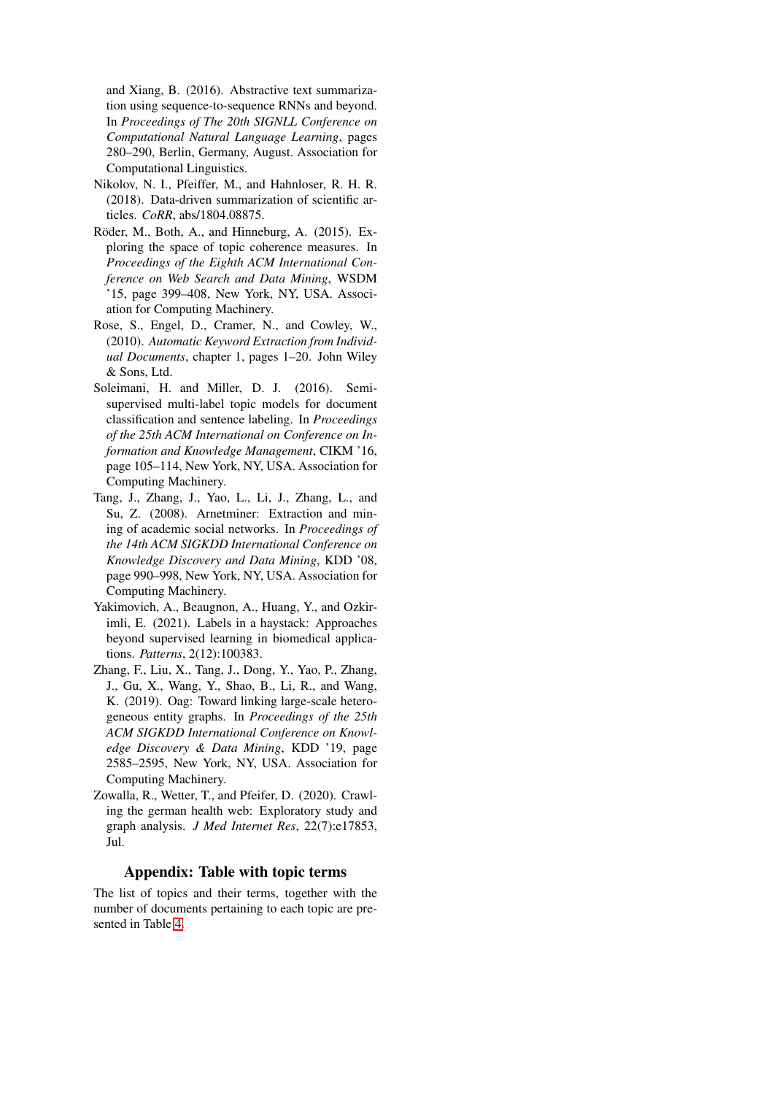and Xiang, B. (2016). Abstractive text summarization using sequence-to-sequence RNNs and beyond. In *Proceedings of The 20th SIGNLL Conference on Computational Natural Language Learning*, pages 280–290, Berlin, Germany, August. Association for Computational Linguistics.

- <span id="page-5-0"></span>Nikolov, N. I., Pfeiffer, M., and Hahnloser, R. H. R. (2018). Data-driven summarization of scientific articles. *CoRR*, abs/1804.08875.
- <span id="page-5-7"></span>Röder, M., Both, A., and Hinneburg, A. (2015). Exploring the space of topic coherence measures. In *Proceedings of the Eighth ACM International Conference on Web Search and Data Mining*, WSDM '15, page 399–408, New York, NY, USA. Association for Computing Machinery.
- <span id="page-5-6"></span>Rose, S., Engel, D., Cramer, N., and Cowley, W., (2010). *Automatic Keyword Extraction from Individual Documents*, chapter 1, pages 1–20. John Wiley & Sons, Ltd.
- <span id="page-5-1"></span>Soleimani, H. and Miller, D. J. (2016). Semisupervised multi-label topic models for document classification and sentence labeling. In *Proceedings of the 25th ACM International on Conference on Information and Knowledge Management*, CIKM '16, page 105–114, New York, NY, USA. Association for Computing Machinery.
- <span id="page-5-3"></span>Tang, J., Zhang, J., Yao, L., Li, J., Zhang, L., and Su, Z. (2008). Arnetminer: Extraction and mining of academic social networks. In *Proceedings of the 14th ACM SIGKDD International Conference on Knowledge Discovery and Data Mining*, KDD '08, page 990–998, New York, NY, USA. Association for Computing Machinery.
- <span id="page-5-2"></span>Yakimovich, A., Beaugnon, A., Huang, Y., and Ozkirimli, E. (2021). Labels in a haystack: Approaches beyond supervised learning in biomedical applications. *Patterns*, 2(12):100383.
- <span id="page-5-5"></span>Zhang, F., Liu, X., Tang, J., Dong, Y., Yao, P., Zhang, J., Gu, X., Wang, Y., Shao, B., Li, R., and Wang, K. (2019). Oag: Toward linking large-scale heterogeneous entity graphs. In *Proceedings of the 25th ACM SIGKDD International Conference on Knowledge Discovery & Data Mining*, KDD '19, page 2585–2595, New York, NY, USA. Association for Computing Machinery.
- <span id="page-5-4"></span>Zowalla, R., Wetter, T., and Pfeifer, D. (2020). Crawling the german health web: Exploratory study and graph analysis. *J Med Internet Res*, 22(7):e17853, Jul.

# Appendix: Table with topic terms

The list of topics and their terms, together with the number of documents pertaining to each topic are presented in Table [4.](#page-6-0)